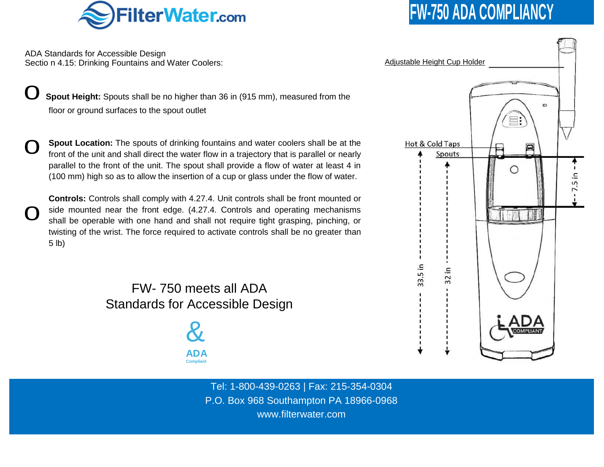

ADA Standards for Accessible Design Sectio n 4.15: Drinking Fountains and Water Coolers:

**Spout Height:** Spouts shall be no higher than 36 in (915 mm), measured from the floor or ground surfaces to the spout outlet

0 **Spout Location:** The spouts of drinking fountains and water coolers shall be at the front of the unit and shall direct the water flow in a trajectory that is parallel or nearly parallel to the front of the unit. The spout shall provide a flow of water at least 4 in (100 mm) high so as to allow the insertion of a cup or glass under the flow of water.

0

**Controls:** Controls shall comply with 4.27.4. Unit controls shall be front mounted or side mounted near the front edge. (4.27.4. Controls and operating mechanisms shall be operable with one hand and shall not require tight grasping, pinching, or twisting of the wrist. The force required to activate controls shall be no greater than 5 lb)

> FW- 750 meets all ADA Standards for Accessible Design

> > & **ADA Compliant**

> > > Tel: 1-800-439-0263 | Fax: 215-354-0304 P.O. Box 968 Southampton PA 18966-0968 www.filterwater.com

## **FW-750 ADA COMPLIANCY**